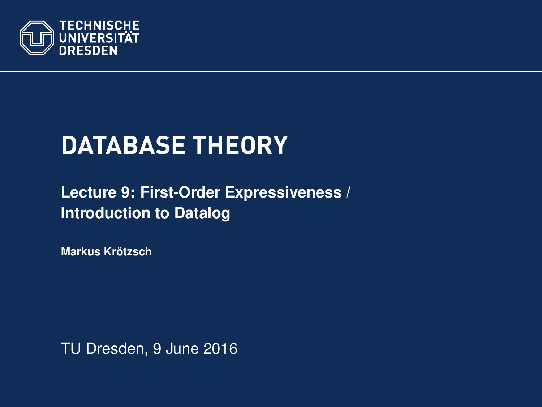<span id="page-0-0"></span>

# **DATABASE THEORY**

## **[Lecture 9: First-Order Expressiveness /](https://ddll.inf.tu-dresden.de/web/Database_Theory_%28SS2016%29/en) [Introduction to Datalog](https://ddll.inf.tu-dresden.de/web/Database_Theory_%28SS2016%29/en)**

**[Markus Krotzsch](http://korrekt.org/) ¨**

TU Dresden, 9 June 2016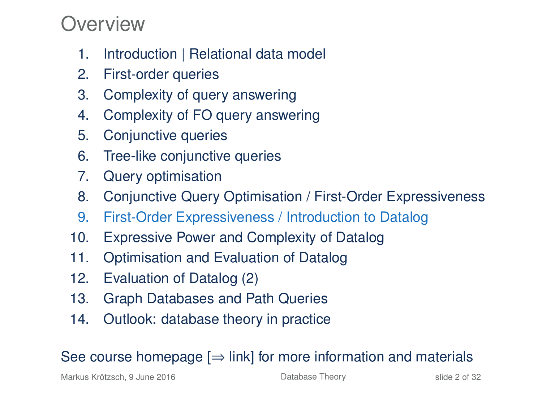## Overview

- 1. Introduction | Relational data model
- 2. First-order queries
- 3. Complexity of query answering
- 4. Complexity of FO query answering
- 5. Conjunctive queries
- 6. Tree-like conjunctive queries
- 7. Query optimisation
- 8. Conjunctive Query Optimisation / First-Order Expressiveness
- 9. First-Order Expressiveness / Introduction to Datalog
- 10. Expressive Power and Complexity of Datalog
- 11. Optimisation and Evaluation of Datalog
- 12. Evaluation of Datalog (2)
- 13. Graph Databases and Path Queries
- 14. Outlook: database theory in practice

## See course homepage  $[\Rightarrow]$  link] for more information and materials

Markus Krötzsch, 9 June 2016 **[Database Theory](#page-0-0)** Charles Controller 2 of 32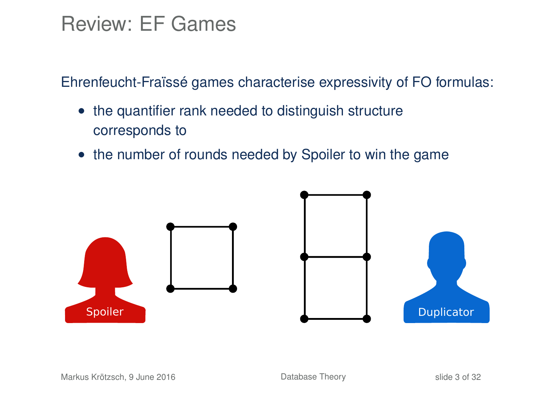## Review: EF Games

Ehrenfeucht-Fraïssé games characterise expressivity of FO formulas:

- the quantifier rank needed to distinguish structure corresponds to
- the number of rounds needed by Spoiler to win the game

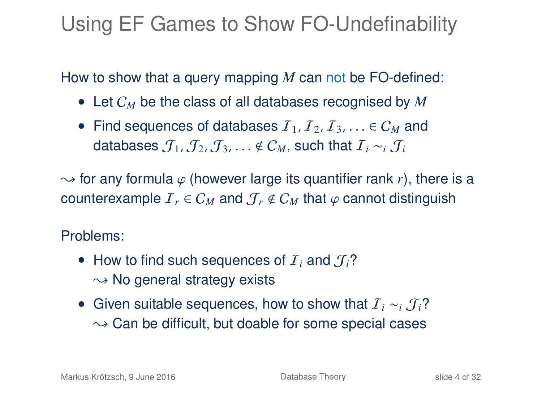# Using EF Games to Show FO-Undefinability

How to show that a query mapping *M* can not be FO-defined:

- Let C*<sup>M</sup>* be the class of all databases recognised by *M*
- Find sequences of databases  $I_1, I_2, I_3, \ldots \in C_M$  and databases  $\mathcal{J}_1$ ,  $\mathcal{J}_2$ ,  $\mathcal{J}_3$ , ...  $\notin \mathcal{C}_M$ , such that  $\mathcal{I}_i \sim_i \mathcal{J}_i$

 $\rightarrow$  for any formula  $\varphi$  (however large its quantifier rank *r*), there is a counterexample  $I_r \in C_M$  and  $\mathcal{J}_r \notin C_M$  that  $\varphi$  cannot distinguish

### Problems:

- How to find such sequences of  $I_i$  and  $J_i$ ?  $\sim$  No general strategy exists
- Given suitable sequences, how to show that I*<sup>i</sup>* ∼*<sup>i</sup>* J*i*?  $\sim$  Can be difficult, but doable for some special cases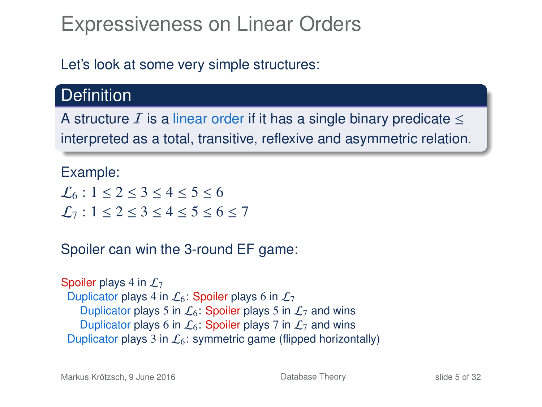# Expressiveness on Linear Orders

Let's look at some very simple structures:

## **Definition**

A structure I is a linear order if it has a single binary predicate  $\leq$ interpreted as a total, transitive, reflexive and asymmetric relation.

### Example:

 $\mathcal{L}_6$ : 1  $\leq$  2  $\leq$  3  $\leq$  4  $\leq$  5  $\leq$  6  $L_7$ : 1 < 2 < 3 < 4 < 5 < 6 < 7

### Spoiler can win the 3-round EF game:

Spoiler plays 4 in  $\mathcal{L}_7$ Duplicator plays 4 in  $\mathcal{L}_6$ : Spoiler plays 6 in  $\mathcal{L}_7$ Duplicator plays 5 in  $\mathcal{L}_6$ : Spoiler plays 5 in  $\mathcal{L}_7$  and wins Duplicator plays 6 in  $\mathcal{L}_6$ : Spoiler plays 7 in  $\mathcal{L}_7$  and wins Duplicator plays 3 in  $\mathcal{L}_6$ : symmetric game (flipped horizontally)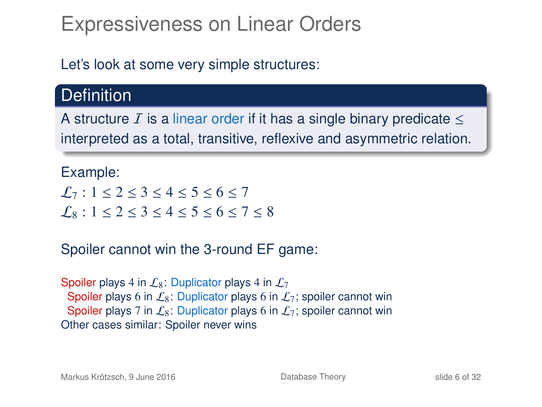# Expressiveness on Linear Orders

Let's look at some very simple structures:

## **Definition**

A structure  $I$  is a linear order if it has a single binary predicate  $\leq$ interpreted as a total, transitive, reflexive and asymmetric relation.

#### Example:

 $\mathcal{L}_7$ : 1  $\leq$  2  $\leq$  3  $\leq$  4  $\leq$  5  $\leq$  6  $\leq$  7  $L_8$ : 1 < 2 < 3 < 4 < 5 < 6 < 7 < 8

### Spoiler cannot win the 3-round EF game:

Spoiler plays 4 in  $\mathcal{L}_8$ : Duplicator plays 4 in  $\mathcal{L}_7$ Spoiler plays 6 in  $\mathcal{L}_8$ : Duplicator plays 6 in  $\mathcal{L}_7$ ; spoiler cannot win Spoiler plays 7 in  $\mathcal{L}_8$ : Duplicator plays 6 in  $\mathcal{L}_7$ ; spoiler cannot win Other cases similar: Spoiler never wins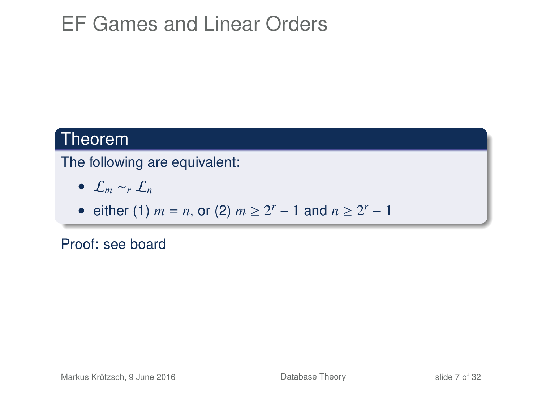# EF Games and Linear Orders

## Theorem

The following are equivalent:

- L*<sup>m</sup>* ∼*<sup>r</sup>* L*<sup>n</sup>*
- either (1)  $m = n$ , or (2)  $m \ge 2^r 1$  and  $n \ge 2^r 1$

Proof: see board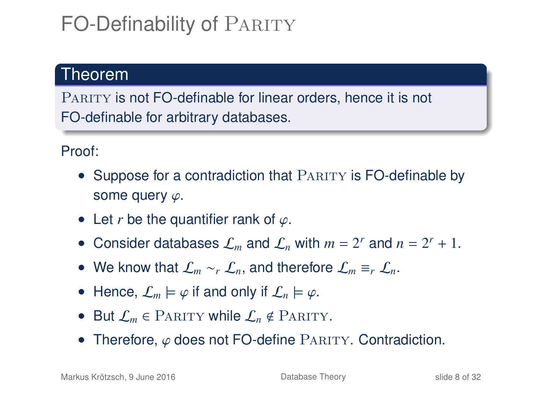# FO-Definability of PARITY

## Theorem

PARITY is not FO-definable for linear orders, hence it is not FO-definable for arbitrary databases.

### Proof:

- Suppose for a contradiction that PARITY is FO-definable by some query  $\varphi$ .
- Let *r* be the quantifier rank of  $\varphi$ .
- Consider databases  $\mathcal{L}_m$  and  $\mathcal{L}_n$  with  $m = 2^r$  and  $n = 2^r + 1$ .
- We know that L*<sup>m</sup>* ∼*<sup>r</sup>* L*n*, and therefore L*<sup>m</sup>* ≡*<sup>r</sup>* L*n*.
- Hence,  $\mathcal{L}_m \models \varphi$  if and only if  $\mathcal{L}_n \models \varphi$ .
- But  $\mathcal{L}_m \in$  PARITY while  $\mathcal{L}_n \notin$  PARITY.
- Therefore,  $\varphi$  does not FO-define PARITY. Contradiction.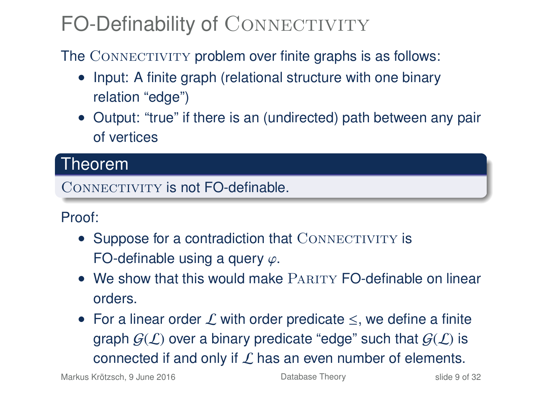# FO-Definability of CONNECTIVITY

The CONNECTIVITY problem over finite graphs is as follows:

- Input: A finite graph (relational structure with one binary relation "edge")
- Output: "true" if there is an (undirected) path between any pair of vertices

## Theorem

CONNECTIVITY is not **FO-definable** 

### Proof:

- Suppose for a contradiction that CONNECTIVITY is FO-definable using a query  $\varphi$ .
- We show that this would make PARITY FO-definable on linear orders.
- For a linear order  $\mathcal L$  with order predicate  $\leq$ , we define a finite graph  $G(\mathcal{L})$  over a binary predicate "edge" such that  $G(\mathcal{L})$  is connected if and only if  $\mathcal L$  has an even number of elements.

Markus Krötzsch, 9 June 2016 **[Database Theory](#page-0-0)** Charles Krötzsch, 9 June 2016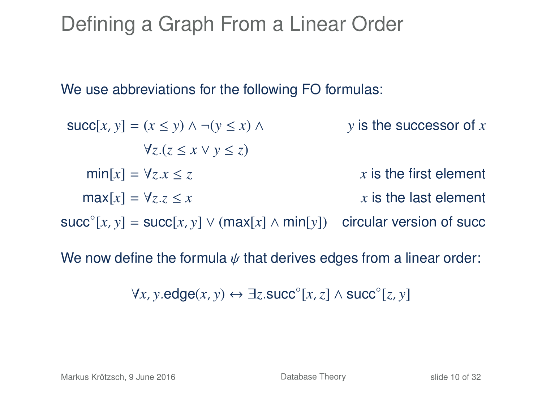## Defining a Graph From a Linear Order

We use abbreviations for the following FO formulas:

 $\text{succ}[x, y] = (x \le y) \land \neg(y \le x) \land$  *y* is the successor of *x* ∀*z*.(*z* ≤ *x* ∨ *y* ≤ *z*)  $min[x] = \forall z \cdot x \leq z$  *x* is the first element  $\max[x] = \forall z \cdot z \leq x$  *x* is the last element succ $\circ$ [*x*, *y*] = succ[*x*, *y*]  $\vee$  (max[*x*]  $\wedge$  min[*y*]) circular version of succ

We now define the formula  $\psi$  that derives edges from a linear order:

∀*x*, *y*.edge(*x*, *y*) ↔ ∃*z*.succ◦ [*x*,*z*] ∧ succ◦ [*z*, *y*]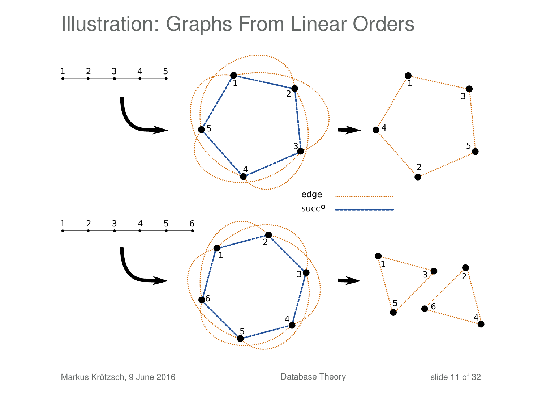## Illustration: Graphs From Linear Orders

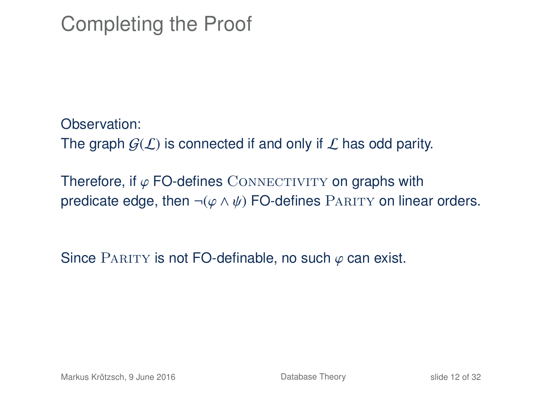# Completing the Proof

Observation: The graph  $G(\mathcal{L})$  is connected if and only if  $\mathcal{L}$  has odd parity.

Therefore, if  $\varphi$  FO-defines CONNECTIVITY on graphs with predicate edge, then  $\neg(\varphi \land \psi)$  FO-defines PARITY on linear orders.

Since PARITY is not FO-definable, no such  $\varphi$  can exist.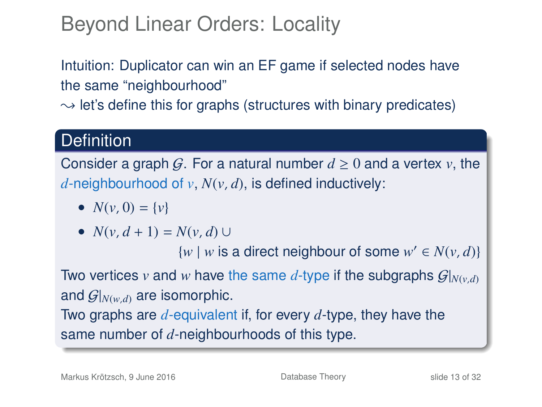# Beyond Linear Orders: Locality

Intuition: Duplicator can win an EF game if selected nodes have the same "neighbourhood"

 $\rightarrow$  let's define this for graphs (structures with binary predicates)

## **Definition**

Consider a graph G. For a natural number  $d \geq 0$  and a vertex *v*, the *d*-neighbourhood of *v*, *N*(*v*, *d*), is defined inductively:

•  $N(v, 0) = \{v\}$ 

• 
$$
N(v, d+1) = N(v, d) \cup
$$

 $\{w \mid w \text{ is a direct neighbour of some } w' \in N(v, d)\}$ 

Two vertices *v* and *w* have the same *d*-type if the subgraphs  $G|_{N(v,d)}$ and  $\mathcal{G}|_{N(w,d)}$  are isomorphic.

Two graphs are *d*-equivalent if, for every *d*-type, they have the same number of *d*-neighbourhoods of this type.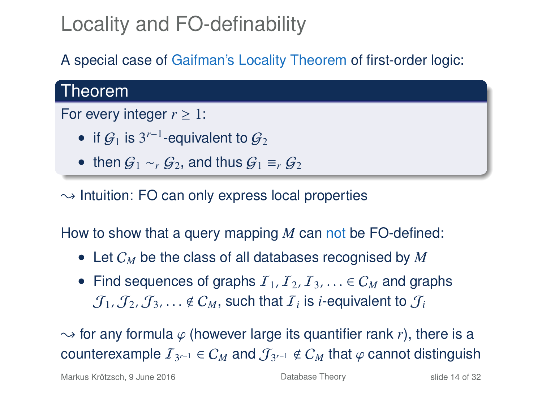# Locality and FO-definability

A special case of Gaifman's Locality Theorem of first-order logic:

## Theorem

#### For every integer  $r \geq 1$ :

- if  $\mathcal{G}_1$  is 3<sup>r-1</sup>-equivalent to  $\mathcal{G}_2$
- then  $G_1 \sim_r G_2$ , and thus  $G_1 \equiv_r G_2$

 $\rightarrow$  Intuition: FO can only express local properties

How to show that a query mapping *M* can not be FO-defined:

- Let C*<sup>M</sup>* be the class of all databases recognised by *M*
- Find sequences of graphs  $I_1, I_2, I_3, \ldots \in C_M$  and graphs  $\mathcal{J}_1, \mathcal{J}_2, \mathcal{J}_3, \ldots \notin \mathcal{C}_M$ , such that  $\mathcal{I}_i$  is *i*-equivalent to  $\mathcal{J}_i$

 $\rightarrow$  for any formula  $\varphi$  (however large its quantifier rank *r*), there is a  $\text{counterexample } \mathcal{I}_{3^{r-1}} \in \mathcal{C}_M \text{ and } \mathcal{J}_{3^{r-1}} \notin \mathcal{C}_M \text{ that } \varphi \text{ cannot distinguish }$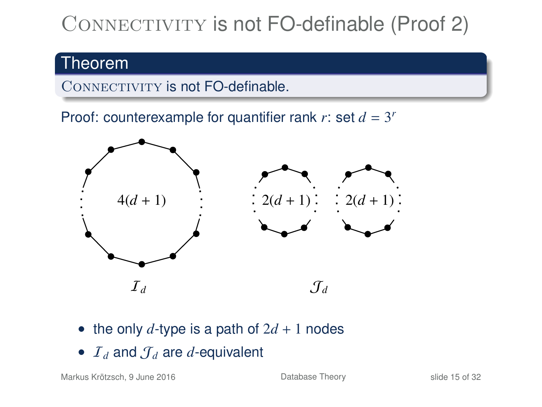# CONNECTIVITY is not FO-definable (Proof 2)

## Theorem

CONNECTIVITY is not FO-definable.

Proof: counterexample for quantifier rank  $r$ : set  $d = 3^r$ 



- the only  $d$ -type is a path of  $2d + 1$  nodes
- $I_d$  and  $I_d$  are *d*-equivalent

Markus Krötzsch, 9 June 2016 **[Database Theory](#page-0-0)** Slide 15 of 32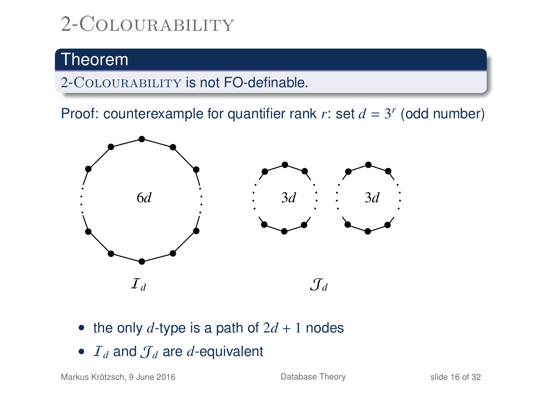# 2-Colourability

## Theorem

2-COLOURABILITY is not FO-definable.

Proof: counterexample for quantifier rank  $r$ : set  $d = 3^r$  (odd number)



- the only  $d$ -type is a path of  $2d + 1$  nodes
- $I_d$  and  $J_d$  are *d*-equivalent

Markus Krötzsch, 9 June 2016 **[Database Theory](#page-0-0)** Slide 16 of 32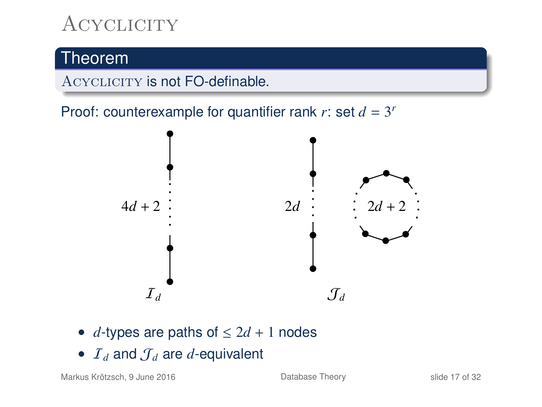# **ACYCLICITY**

## Theorem

ACYCLICITY is not FO-definable.

Proof: counterexample for quantifier rank  $r$ : set  $d = 3^r$ 



- *d*-types are paths of  $\leq 2d + 1$  nodes
- $I_d$  and  $J_d$  are *d*-equivalent

Markus Krötzsch, 9 June 2016 **[Database Theory](#page-0-0)** Database Theory slide 17 of 32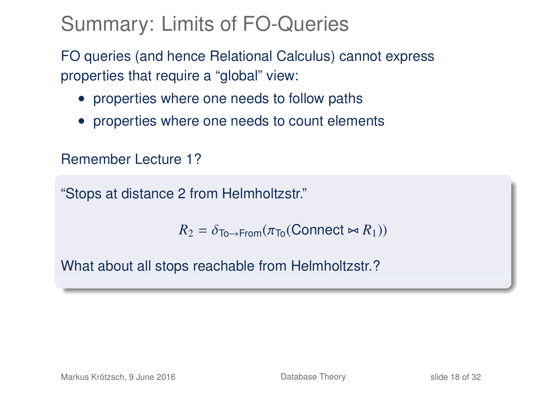# Summary: Limits of FO-Queries

FO queries (and hence Relational Calculus) cannot express properties that require a "global" view:

- properties where one needs to follow paths
- properties where one needs to count elements

Remember Lecture 1?

"Stops at distance 2 from Helmholtzstr."

 $R_2 = \delta_{\text{To}\rightarrow\text{From}}(\pi_{\text{To}}(\text{Connect} \bowtie R_1))$ 

What about all stops reachable from Helmholtzstr.?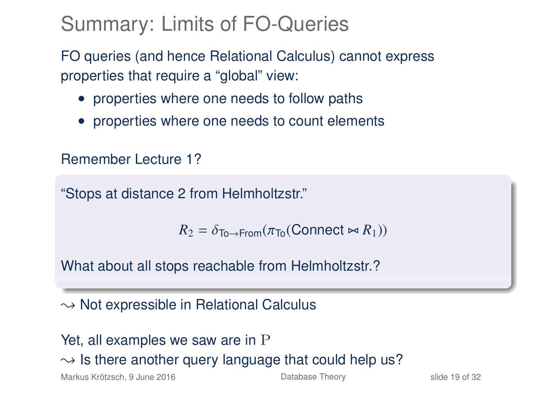# Summary: Limits of FO-Queries

FO queries (and hence Relational Calculus) cannot express properties that require a "global" view:

- properties where one needs to follow paths
- properties where one needs to count elements

Remember Lecture 1?

"Stops at distance 2 from Helmholtzstr."

 $R_2 = \delta_{\text{To}\rightarrow\text{From}}(\pi_{\text{To}}(\text{Connect} \bowtie R_1))$ 

What about all stops reachable from Helmholtzstr.?

 $\rightarrow$  Not expressible in Relational Calculus

Yet, all examples we saw are in P  $\rightarrow$  Is there another query language that could help us? Markus Krötzsch, 9 June 2016 **[Database Theory](#page-0-0)** Slide 19 of 32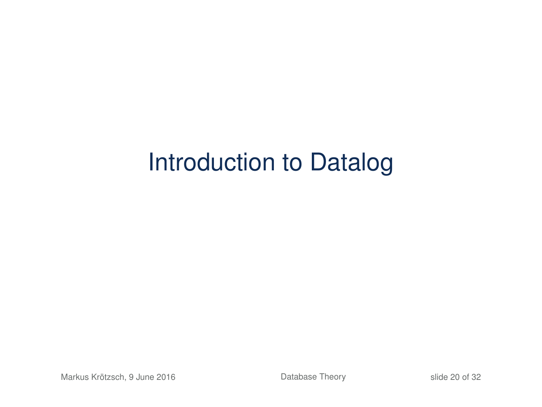# Introduction to Datalog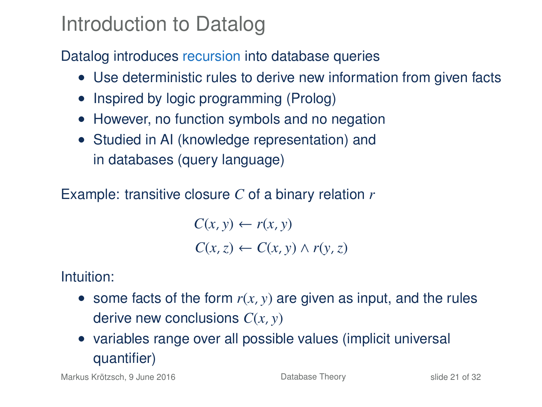## Introduction to Datalog

## Datalog introduces recursion into database queries

- Use deterministic rules to derive new information from given facts
- Inspired by logic programming (Prolog)
- However, no function symbols and no negation
- Studied in AI (knowledge representation) and in databases (query language)

Example: transitive closure *C* of a binary relation *r*

 $C(x, y) \leftarrow r(x, y)$  $C(x, z) \leftarrow C(x, y) \wedge r(y, z)$ 

Intuition:

- some facts of the form  $r(x, y)$  are given as input, and the rules derive new conclusions *C*(*x*, *y*)
- variables range over all possible values (implicit universal quantifier)

Markus Krötzsch, 9 June 2016 **[Database Theory](#page-0-0)** Slide 21 of 32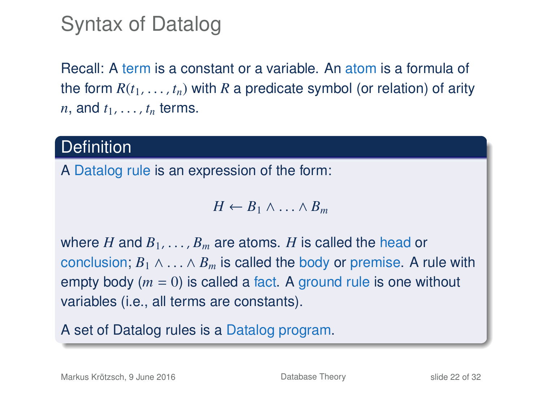## Syntax of Datalog

Recall: A term is a constant or a variable. An atom is a formula of the form  $R(t_1, \ldots, t_n)$  with R a predicate symbol (or relation) of arity *n*, and  $t_1, \ldots, t_n$  terms.

## **Definition**

A Datalog rule is an expression of the form:

 $H \leftarrow B_1 \wedge \ldots \wedge B_m$ 

where *H* and  $B_1, \ldots, B_m$  are atoms. *H* is called the head or conclusion;  $B_1 \wedge \ldots \wedge B_m$  is called the body or premise. A rule with empty body (*m* = 0) is called a fact. A ground rule is one without variables (i.e., all terms are constants).

A set of Datalog rules is a Datalog program.

Markus Krötzsch, 9 June 2016 **[Database Theory](#page-0-0) Database Theory** slide 22 of 32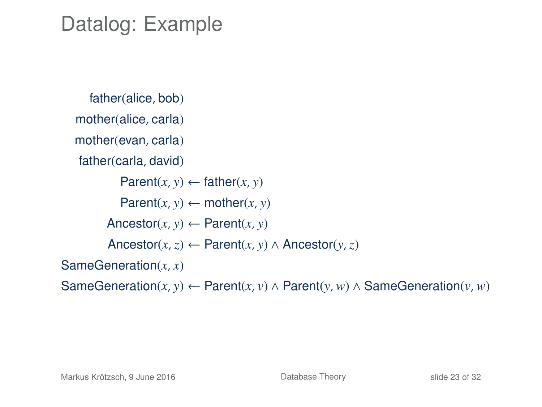## Datalog: Example

```
father(alice, bob)
  mother(alice, carla)
  mother(evan, carla)
   father(carla, david)
           Parent(x, y) \leftarrow father(x, y)Parent(x, y) \leftarrow mother(x, y)Ancestor(x, y) \leftarrow Parent(x, y)
        Ancestor(x,z) ← Parent(x, y) ∧ Ancestor(y,z)
SameGeneration(x, x)
SameGeneration(x, y) ← Parent(x, v) ∧ Parent(y, w) ∧ SameGeneration(v, w)
```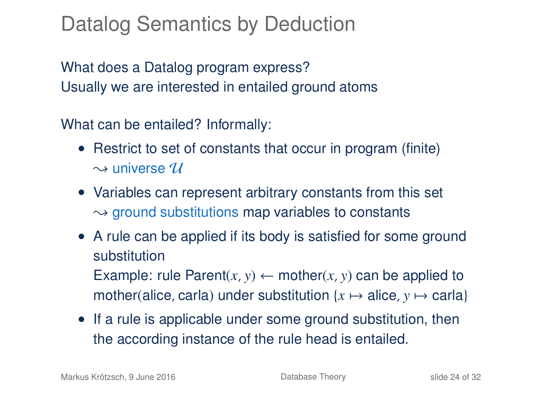# Datalog Semantics by Deduction

What does a Datalog program express? Usually we are interested in entailed ground atoms

What can be entailed? Informally:

- Restrict to set of constants that occur in program (finite)  $\sim$  universe  $\mathcal U$
- Variables can represent arbitrary constants from this set  $\rightarrow$  ground substitutions map variables to constants
- A rule can be applied if its body is satisfied for some ground substitution Example: rule Parent $(x, y) \leftarrow \text{mother}(x, y)$  can be applied to mother(alice, carla) under substitution  $\{x \mapsto \text{alice}, y \mapsto \text{carla}\}\$
- If a rule is applicable under some ground substitution, then the according instance of the rule head is entailed.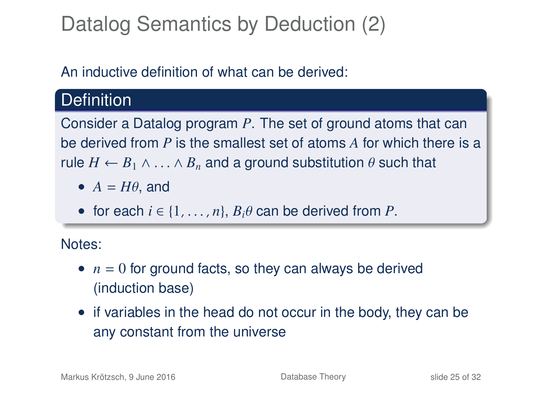# Datalog Semantics by Deduction (2)

## An inductive definition of what can be derived:

## **Definition**

Consider a Datalog program *P*. The set of ground atoms that can be derived from *P* is the smallest set of atoms *A* for which there is a rule  $H \leftarrow B_1 \wedge \ldots \wedge B_n$  and a ground substitution  $\theta$  such that

- $A = H\theta$ , and
- for each  $i \in \{1, \ldots, n\}$ ,  $B_i \theta$  can be derived from P.

Notes:

- $\bullet$   $n = 0$  for ground facts, so they can always be derived (induction base)
- if variables in the head do not occur in the body, they can be any constant from the universe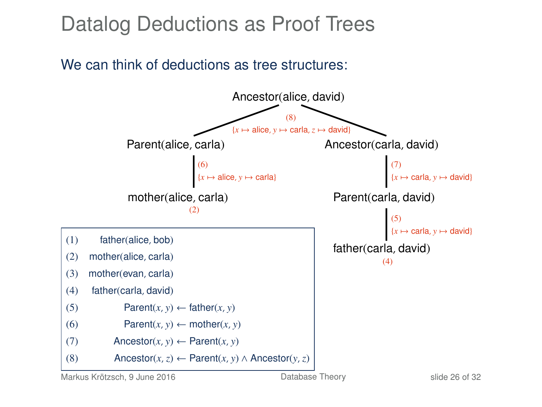# Datalog Deductions as Proof Trees

### We can think of deductions as tree structures:

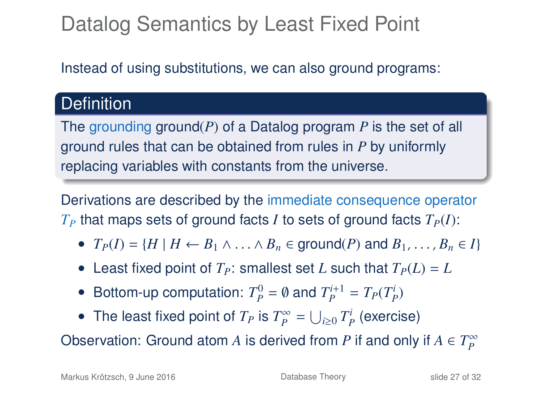# Datalog Semantics by Least Fixed Point

Instead of using substitutions, we can also ground programs:

## **Definition**

The grounding ground(*P*) of a Datalog program *P* is the set of all ground rules that can be obtained from rules in *P* by uniformly replacing variables with constants from the universe.

Derivations are described by the immediate consequence operator  $T_P$  that maps sets of ground facts *I* to sets of ground facts  $T_P(I)$ :

- $T_P(I) = \{H \mid H \leftarrow B_1 \land \ldots \land B_n \in \text{ground}(P) \text{ and } B_1, \ldots, B_n \in I\}$
- Least fixed point of  $T_P$ : smallest set *L* such that  $T_P(L) = L$
- Bottom-up computation:  $T_p^0 = \emptyset$  and  $T_p^{i+1} = T_p(T_p^i)$
- The least fixed point of  $T_P$  is  $T_P^{\infty} = \bigcup_{i \geq 0} T_P^i$  (exercise)

Observation: Ground atom *A* is derived from *P* if and only if  $A \in T_P^{\infty}$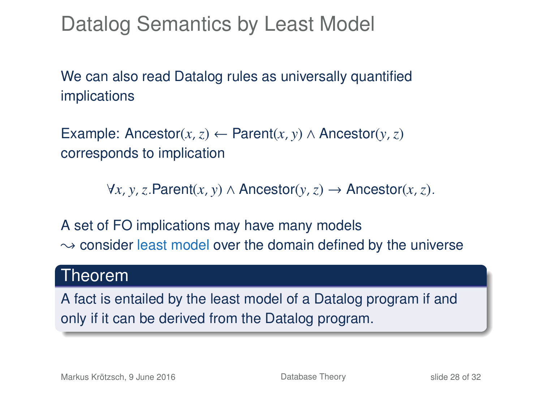Datalog Semantics by Least Model

We can also read Datalog rules as universally quantified implications

Example: Ancestor(*x*,*z*) ← Parent(*x*, *y*) ∧ Ancestor(*y*, *z*) corresponds to implication

∀*x*, *y*,*z*.Parent(*x*, *y*) ∧ Ancestor(*y*,*z*) → Ancestor(*x*,*z*).

A set of FO implications may have many models  $\rightarrow$  consider least model over the domain defined by the universe

## Theorem

A fact is entailed by the least model of a Datalog program if and only if it can be derived from the Datalog program.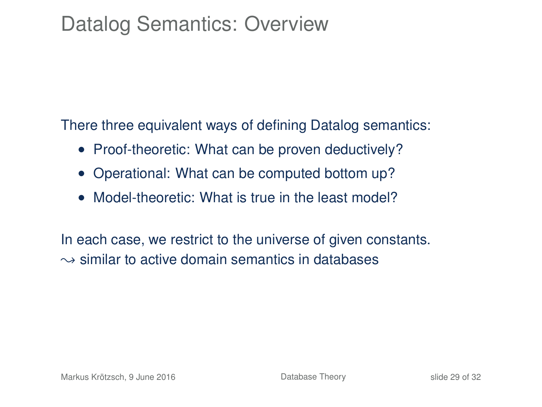# Datalog Semantics: Overview

There three equivalent ways of defining Datalog semantics:

- Proof-theoretic: What can be proven deductively?
- Operational: What can be computed bottom up?
- Model-theoretic: What is true in the least model?

In each case, we restrict to the universe of given constants.  $\rightarrow$  similar to active domain semantics in databases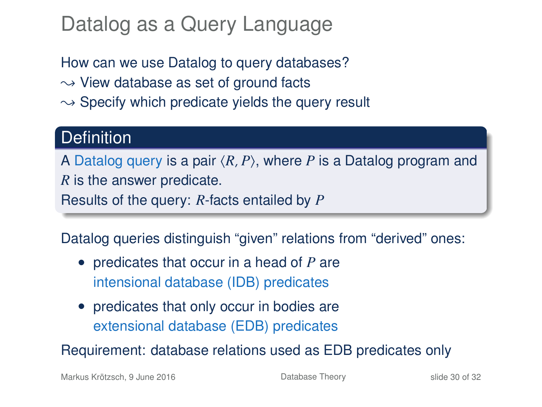# Datalog as a Query Language

How can we use Datalog to query databases?

- $\rightarrow$  View database as set of ground facts
- $\rightarrow$  Specify which predicate yields the query result

## **Definition**

A Datalog query is a pair  $\langle R, P \rangle$ , where *P* is a Datalog program and *R* is the answer predicate.

Results of the query: *R*-facts entailed by *P*

Datalog queries distinguish "given" relations from "derived" ones:

- predicates that occur in a head of *P* are intensional database (IDB) predicates
- predicates that only occur in bodies are extensional database (EDB) predicates

Requirement: database relations used as EDB predicates only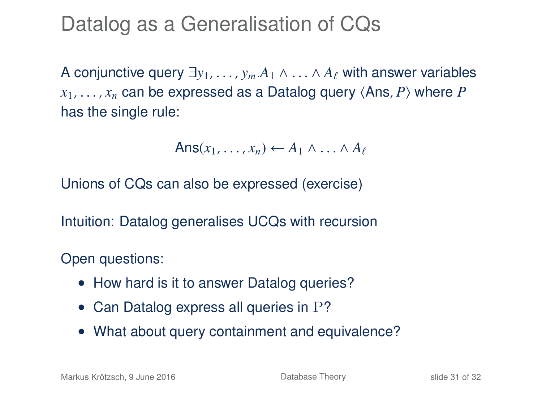Datalog as a Generalisation of CQs

A conjunctive query  $\exists y_1, \ldots, y_m.A_1 \wedge \ldots \wedge A_\ell$  with answer variables  $x_1, \ldots, x_n$  can be expressed as a Datalog query  $\langle \text{Ans}, P \rangle$  where *P* has the single rule:

$$
Ans(x_1,\ldots,x_n) \leftarrow A_1 \wedge \ldots \wedge A_\ell
$$

Unions of CQs can also be expressed (exercise)

Intuition: Datalog generalises UCQs with recursion

Open questions:

- How hard is it to answer Datalog queries?
- Can Datalog express all queries in P?
- What about query containment and equivalence?